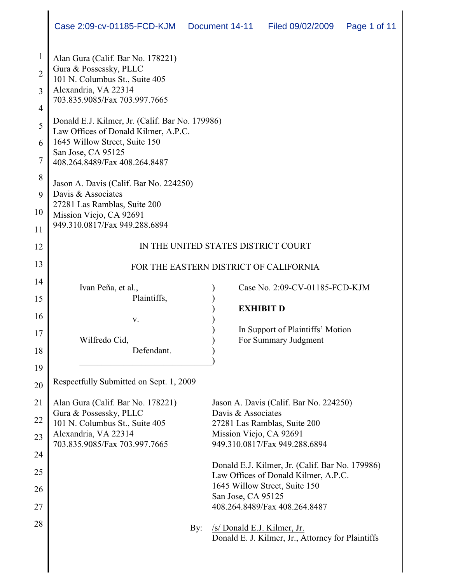| $\mathbf{1}$<br>$\overline{2}$<br>$\overline{3}$<br>$\overline{4}$ | Alan Gura (Calif. Bar No. 178221)<br>Gura & Possessky, PLLC<br>101 N. Columbus St., Suite 405<br>Alexandria, VA 22314<br>703.835.9085/Fax 703.997.7665 |                                                                                  |
|--------------------------------------------------------------------|--------------------------------------------------------------------------------------------------------------------------------------------------------|----------------------------------------------------------------------------------|
| 5                                                                  | Donald E.J. Kilmer, Jr. (Calif. Bar No. 179986)                                                                                                        |                                                                                  |
|                                                                    | Law Offices of Donald Kilmer, A.P.C.<br>1645 Willow Street, Suite 150                                                                                  |                                                                                  |
| 6<br>$\overline{7}$                                                | San Jose, CA 95125<br>408.264.8489/Fax 408.264.8487                                                                                                    |                                                                                  |
| 8                                                                  |                                                                                                                                                        |                                                                                  |
| 9                                                                  | Jason A. Davis (Calif. Bar No. 224250)<br>Davis & Associates                                                                                           |                                                                                  |
| 10                                                                 | 27281 Las Ramblas, Suite 200<br>Mission Viejo, CA 92691                                                                                                |                                                                                  |
| 11                                                                 | 949.310.0817/Fax 949.288.6894                                                                                                                          |                                                                                  |
| 12                                                                 | IN THE UNITED STATES DISTRICT COURT                                                                                                                    |                                                                                  |
| 13                                                                 | FOR THE EASTERN DISTRICT OF CALIFORNIA                                                                                                                 |                                                                                  |
| 14                                                                 |                                                                                                                                                        |                                                                                  |
| 15                                                                 | Ivan Peña, et al.,<br>Plaintiffs,                                                                                                                      | Case No. 2:09-CV-01185-FCD-KJM                                                   |
| 16                                                                 |                                                                                                                                                        | <b>EXHIBIT D</b>                                                                 |
|                                                                    | V.                                                                                                                                                     | In Support of Plaintiffs' Motion                                                 |
| 17                                                                 | Wilfredo Cid,                                                                                                                                          | For Summary Judgment                                                             |
| 18                                                                 | Defendant.                                                                                                                                             |                                                                                  |
| 19                                                                 |                                                                                                                                                        |                                                                                  |
| 20                                                                 | Respectfully Submitted on Sept. 1, 2009                                                                                                                |                                                                                  |
| 21                                                                 | Alan Gura (Calif. Bar No. 178221)                                                                                                                      | Jason A. Davis (Calif. Bar No. 224250)                                           |
| 22                                                                 | Gura & Possessky, PLLC<br>101 N. Columbus St., Suite 405                                                                                               | Davis & Associates<br>27281 Las Ramblas, Suite 200                               |
| 23                                                                 | Alexandria, VA 22314                                                                                                                                   | Mission Viejo, CA 92691                                                          |
|                                                                    | 703.835.9085/Fax 703.997.7665                                                                                                                          | 949.310.0817/Fax 949.288.6894                                                    |
| 24                                                                 |                                                                                                                                                        | Donald E.J. Kilmer, Jr. (Calif. Bar No. 179986)                                  |
| 25                                                                 |                                                                                                                                                        | Law Offices of Donald Kilmer, A.P.C.                                             |
| 26                                                                 |                                                                                                                                                        | 1645 Willow Street, Suite 150                                                    |
| 27                                                                 |                                                                                                                                                        | San Jose, CA 95125<br>408.264.8489/Fax 408.264.8487                              |
| 28                                                                 |                                                                                                                                                        |                                                                                  |
|                                                                    | By:                                                                                                                                                    | /s/ Donald E.J. Kilmer, Jr.<br>Donald E. J. Kilmer, Jr., Attorney for Plaintiffs |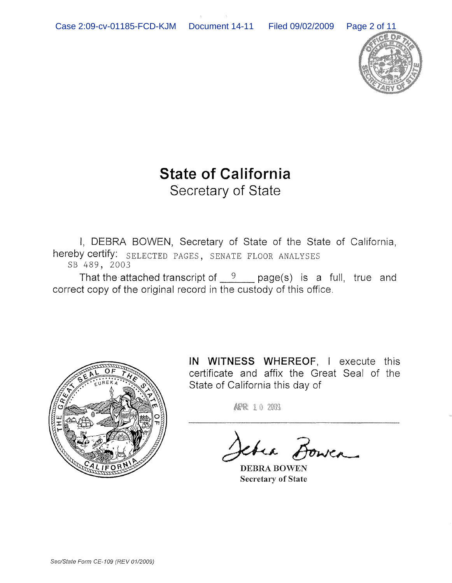

# **State of California** Secretary of State

I, DEBRA BOWEN, Secretary of State of the State of California, hereby certify: SELECTED PAGES, SENATE FLOOR ANALYSES SB 489, 2003

That the attached transcript of  $9$  page(s) is a full, true and correct copy of the original record in the custody of this office.



**IN WITNESS** WHEREOF, I execute this certificate and affix the Great Seal of the State of California this day of

ARR 10 2009

the Bower

DEBRA BOWEN Secretary of State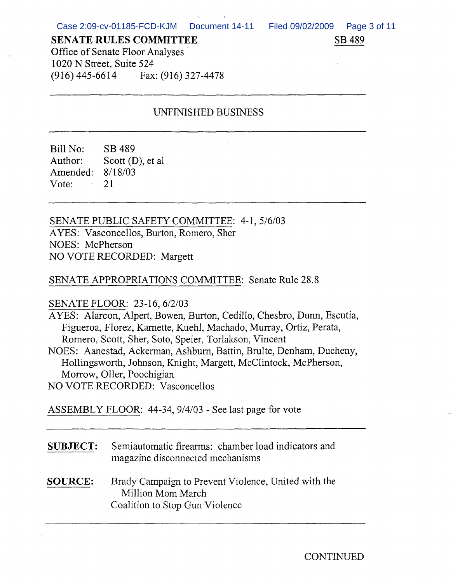SB 489

### **SENATE RULES COMMITTEE**

Office of Senate Floor Analyses' 1020 N Street, Suite 524 (916) 445-6614 Fax: (916) 327-4478

## UNFINISHED BUSINESS

Bill No: SB 489 Author: Scott (D), et al Amended: 8/18/03 Vote:  $-21$ 

SENATE PUBLIC SAFETY COMMITTEE: 4-1, 5/6/03 AYES: Vasconcellos, Burton, Romero, Sher NOES: McPherson NO VOTE RECORDED: Margett

## SENATE APPROPRIATIONS COMMITTEE: Senate Rule 28.8

### SENATE FLOOR: 23-16, 6/2/03

AYES: Alarcon, Alpert, Bowen, Burton, Cedillo, Chesbro, Dunn, Escutia, Figueroa, Florez, Karnette, Kuehl, Machado, Murray, Ortiz, Perata, Romero, Scott, Sher, Soto, Speier, Torlakson, Vincent

NOES: Aanestad, Ackennan, Ashburn, Battin, Brulte, Denham, Ducheny, Hollingsworth, Johnson, Knight, Margett, McClintock, McPherson, Morrow, Oller, Poochigian

NO VOTE RECORDED: Vasconcellos

ASSEMBLY FLOOR: 44-34, 9/4/03 - See last page for vote

- **SUBJECT:** Semiautomatic firearms: chamber load indicators and magazine disconnected mechanisms
- **SOURCE:** Brady Campaign to Prevent Violence, United with the Million Mom March Coalition to Stop Gun Violence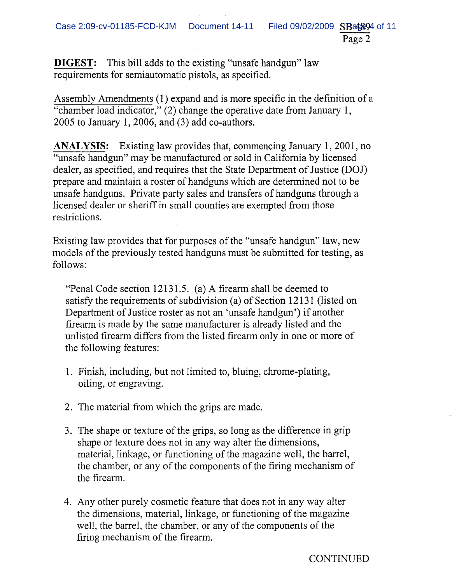Page 2

**DIGEST:** This bill adds to the existing "unsafe handgun" law requirements for semiautomatic pistols, as specified.

Assembly Amendments (1) expand and is more specific in the definition of a "chamber load indicator," (2) change the operative date from January 1, 2005 to January 1,2006, and (3) add co-authors.

**ANALYSIS:** Existing law provides that, commencing January 1, 2001, no "unsafe handgun" may be manufactured or sold in California by licensed dealer, as specified, and requires that the State Department of Justice (DOJ) prepare and maintain a roster of handguns which are determined not to be unsafe handguns. Private party sales and transfers of handguns through a licensed dealer or sheriff in small counties are exempted from those restrictions.

Existing law provides that for purposes of the "unsafe handgun" law, new models of the previously tested handguns must be submitted for testing, as follows:

"Penal Code section 12131.5. (a) A firearm shall be deemed to satisfy the requirements of subdivision (a) of Section 12131 (listed on Department of Justice roster as not an 'unsafe handgun') if another firearm is made by the same manufacturer is already listed and the unlisted firearm differs from the listed firearm only in one or more of the following features:

- 1. Finish, including, but not limited to, bluing, chrome-plating, oiling, or engraving.
- 2. The material from which the grips are made.
- 3. The shape or texture of the grips, so long as the difference in grip shape or texture does not in any way alter the dimensions, material, linkage, or functioning of the magazine well, the barrel, the chamber, or any of the components of the firing mechanism of the firearm.
- 4. Any other purely cosmetic feature that does not in any way alter the dimensions, material, linkage, or functioning of the magazine well, the barrel, the chamber, or any of the components of the firing mechanism of the firearm.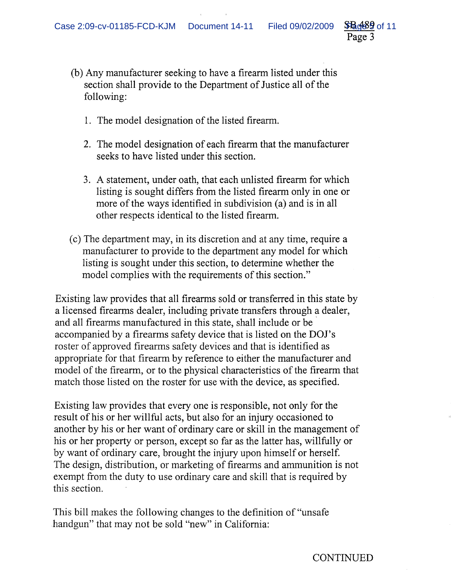following:

 $336699$  of 11 Page 3

(b) Any manufacturer seeking to have a firearm listed under this section shall provide to the Department of Justice all of the

- 1. The model designation of the listed firearm.
- 2. The model designation of each firearm that the manufacturer seeks to have listed under this section.
- 3. A statement, under oath, that each unlisted firearm for which listing is sought differs from the listed firearm only in one or more of the ways identified in subdivision (a) and is in all other respects identical to the listed firearm.
- (c) The department may, in its discretion and at any time, require a manufacturer to provide to the department any model for which listing is sought under this section, to determine whether the model complies with the requirements of this section."

Existing law provides that all firearms sold or transferred in this state by a licensed firearms dealer, including private transfers through a dealer, and all firearms manufactured in this state, shall include or be accompanied by a firearms safety device that is listed on the DOl's roster of approved firearms safety devices and that is identified as appropriate for that firearm by reference to either the manufacturer and model of the firearm, or to the physical characteristics of the firearm that match those listed on the roster for use with the device, as specified.

Existing law provides that every one is responsible, not only for the result of his or her willful acts, but also for an injury occasioned to another by his or her want of ordinary care or skill in the management of his or her property or person, except so far as the latter has, willfully or by want of ordinary care, brought the injury upon himself or herself. The design, distribution, or marketing of firearms and ammunition is not exempt from the duty to use ordinary care and skill that is required by this section.

This bill makes the following changes to the definition of "unsafe handgun" that may not be sold "new" in California: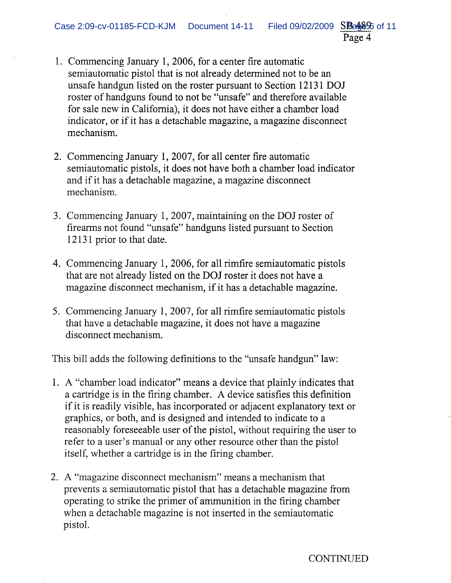- 1. Commencing January 1, 2006, for a center fire automatic semiautomatic pistol that is not already determined not to be an unsafe handgun listed on the roster pursuant to Section 12131 DOJ roster of handguns found to not be "unsafe" and therefore available for sale new in California), it does not have either a chamber load indicator, or if it has a detachable magazine, a magazine disconnect mechanism.
- 2. Commencing January 1, 2007, for all center fire automatic semiautomatic pistols, it does not have both a chamber load indicator and if it has a detachable magazine, a magazine disconnect mechanism.
- 3. Commencing January 1,2007, maintaining on the DOJ roster of firearms not found "unsafe" handguns listed pursuant to Section 12131 prior to that date.
- 4. Commencing January 1, 2006, for all rimfire semiautomatic pistols that are not already listed on the DOJ roster it does not have a magazine disconnect mechanism, if it has a detachable magazine.
- 5. Commencing January 1, 2007, for all rimfire semiautomatic pistols that have a detachable magazine, it does not have a magazine disconnect mechanism.

This bill adds the following definitions to the "unsafe handgun" law:

- 1. A "chamber load indicator" means a device that plainly indicates that a cartridge is in the firing chamber. A device satisfies this definition if it is readily visible, has incorporated or adjacent explanatory text or graphics, or both, and is designed and intended to indicate to a reasonably fore seeable user of the pistol, without requiring the user to refer to a user's manual or any other resource other than the pistol itself, whether a cartridge is in the firing chamber.
- 2. A "magazine disconnect mechanism" means a mechanism that prevents a semiautomatic pistol that has a detachable magazine from operating to strike the primer of ammunition in the firing chamber when a detachable magazine is not inserted in the semiautomatic pistol.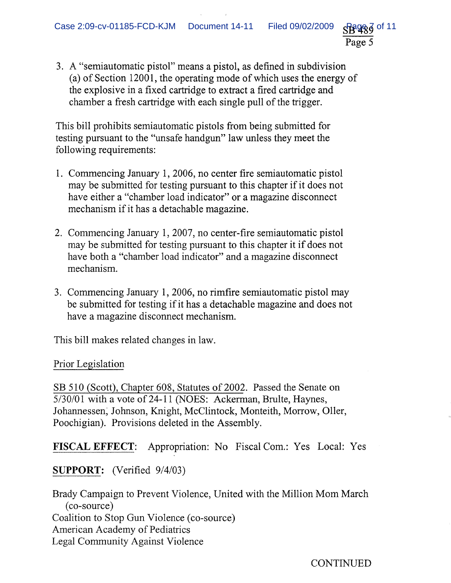SB489 Page 5

3. A "semiautomatic pistol" means a pistol, as defined in subdivision (a) of Section 12001, the operating mode of which uses the energy of the explosive in a fixed cartridge to extract a fired cartridge and chamber a fresh cartridge with each single pull of the trigger.

This bill prohibits semiautomatic pistols from being submitted for testing pursuant to the "unsafe handgun" law unless they meet the following requirements:

- 1. Commencing January 1, 2006, no center fire semiautomatic pistol may be submitted for testing pursuant to this chapter if it does not have either a "chamber load indicator" or a magazine disconnect mechanism if it has a detachable magazine.
- 2. Commencing January 1,2007, no center-fire semiautomatic pistol may be submitted for testing pursuant to this chapter it if does not have both a "chamber load indicator" and a magazine disconnect mechanism.
- 3. Commencing January 1,2006, no rimfire semiautomatic pistol may be submitted for testing if it has a detachable magazine and does not have a magazine disconnect mechanism.

This bill makes related changes in law.

Prior Legislation

SB 510 (Scott), Chapter 608, Statutes of 2002. Passed the Senate on 5/30/01 with a vote of 24-11 (NOES: Ackerman, Brulte, Haynes, Johannessen; Johnson, Knight, McClintock, Monteith, Morrow, Oller, Poochigian). Provisions deleted in the Assembly.

FISCAL EFFECT: Appropriation: No Fiscal Com.: Yes Local: Yes

SUPPORT: (Verified 9/4/03)

Brady Campaign to Prevent Violence, United with the Million Mom March (co-source) Coalition to Stop Gun Violence (co-source) American Academy of Pediatrics Legal Community Against Violence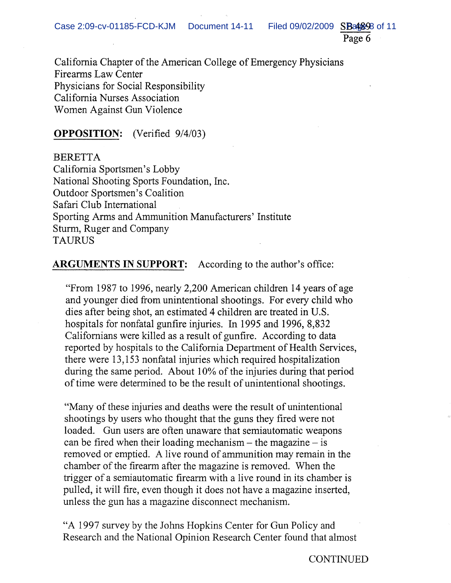Page 6

California Chapter of the American College of Emergency Physicians Firearms Law Center Physicians for Social Responsibility California Nurses Association Women Against Gun Violence

## **OPPOSITION:** (Verified 9/4/03)

BERETTA California Sportsmen's Lobby National Shooting Sports Foundation, Inc. Outdoor Sportsmen's Coalition Safari Club International Sporting Arms and Ammunition Manufacturers' Institute Sturm, Ruger and Company TAURUS

**ARGUMENTS IN SUPPORT:** According to the author's office:

"From 1987 to 1996, nearly 2,200 American children 14 years of age and younger died from unintentional shootings. For every child who dies after being shot, an estimated 4 children are treated in U.S. hospitals for nonfatal gunfire injuries. In 1995 and 1996, 8,832 Californians were killed as a result of gunfire. According to data reported by hospitals to the California Department of Health Services, there were 13,153 nonfatal injuries which required hospitalization during the same period. About 10% of the injuries during that period of time were determined to be the result of unintentional shootings.

"Many of these injuries and deaths were the result of unintentional shootings by users who thought that the guns they fired were not loaded. Gun users are often unaware that semiautomatic weapons can be fired when their loading mechanism  $-$  the magazine  $-$  is removed or emptied. A live round of ammunition may remain in the chamber of the firearm after the magazine is removed. When the trigger of a semiautomatic firearm with a live round in its chamber is pulled, it will fire, even though it does not have a magazine inserted, unless the gun has a magazine disconnect mechanism.

"A 1997 survey by the Johns Hopkins Center for Gun Policy and Research and the National Opinion Research Center found that almost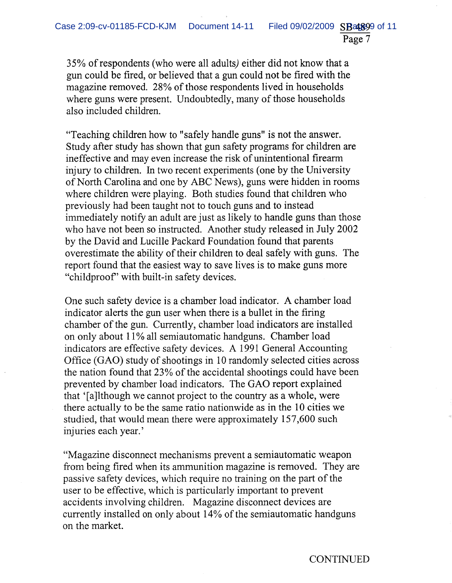35% ofrespondents (who were all adults) either did not know that a gun could be fired, or believed that a gun could not be fired with the magazine removed. 28% of those respondents lived in households where guns were present. Undoubtedly, many of those households also included children.

"Teaching children how to "safely handle guns" is not the answer. Study after study has shown that gun safety programs for children are ineffective and may even increase the risk of unintentional firearm injury to children. In two recent experiments (one by the University of North Carolina and one by ABC News), guns were hidden in rooms where children were playing. Both studies found that children who previously had been taught not to touch guns and to instead immediately notify an adult are just as likely to handle guns than those who have not been so instructed. Another study released in July 2002 by the David and Lucille Packard Foundation found that parents overestimate the ability of their children to deal safely with guns. The report found that the easiest way to save lives is to make guns more "childproof' with built-in safety devices.

One such safety device is a chamber load indicator. A chamber load indicator alerts the gun user when there is a bullet in the firing chamber of the gun. Currently, chamber load indicators are installed on only about 11% all semiautomatic handguns. Chamber load indicators are effective safety devices. A 1991 General Accounting Office (GAO) study of shootings in 10 randomly selected cities across the nation found that  $23\%$  of the accidental shootings could have been prevented by chamber load indicators. The GAO report explained that '[a]lthough we cannot project to the country as a whole, were there actually to be the same ratio nationwide as in the 10 cities we studied, that would mean there were approximately 157,600 such injuries each year. '

"Magazine disconnect mechanisms prevent a semiautomatic weapon from being fired when its ammunition magazine is removed. They are passive safety devices, which require no training on the part of the user to be effective, which is particularly important to prevent accidents involving children. Magazine disconnect devices are currently installed on only about 14% of the semiautomatic handguns on the market.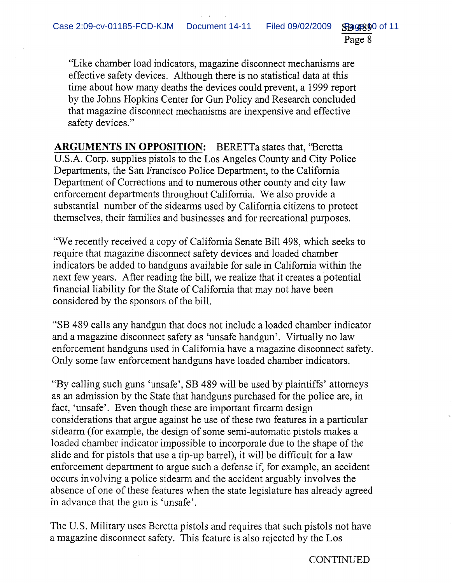**SB9890 of 11** Page 8

"Like chamber load indicators, magazine disconnect mechanisms are effective safety devices. Although there is no statistical data at this time about how many deaths the devices could prevent, a 1999 report by the Johns Hopkins Center for Gun Policy and Research concluded that magazine disconnect mechanisms are inexpensive and effective safety devices."

**ARGUMENTS IN OPPOSITION:** BERETTa states that, ''Beretta U.S.A. Corp. supplies pistols to the Los Angeles County and City Police Departments, the San Francisco Police Department, to the California Department of Corrections and to numerous other county and city law enforcement departments throughout California. We also provide a substantial number of the sidearms used by California citizens to protect themselves, their families and businesses and for recreational purposes.

"We recently received a copy of California Senate Bill 498, which seeks to require that magazine disconnect safety devices and loaded chamber indicators be added to handguns available for sale in California within the next few years. After reading the bill, we realize that it creates a potential financial liability for the State of California that may not have been considered by the sponsors of the bill.

"SB 489 calls any handgun that does not include a loaded chamber indicator and a magazine disconnect safety as 'unsafe handgun'. Virtually no law enforcement handguns used in California have a magazine disconnect safety. Only some law enforcement handguns have loaded chamber indicators.

"By calling such guns 'unsafe', SB 489 will be used by plaintiffs' attorneys as an admission by the State that handguns purchased for the police are, in fact, 'unsafe'. Even though these are important firearm design considerations that argue against he use of these two features in a particular sidearm (for example, the design of some semi-automatic pistols makes a loaded chamber indicator impossible to incorporate due to the shape of the slide and for pistols that use a tip-up barrel), it will be difficult for a law enforcement department to argue such a defense if, for example, an accident occurs involving a police sidearm and the accident arguably involves the absence of one of these features when the state legislature has already agreed in advance that the gun is 'unsafe'.

The U.S. Military uses Beretta pistols and requires that such pistols not have a magazine disconnect safety. This feature is also rejected by the Los